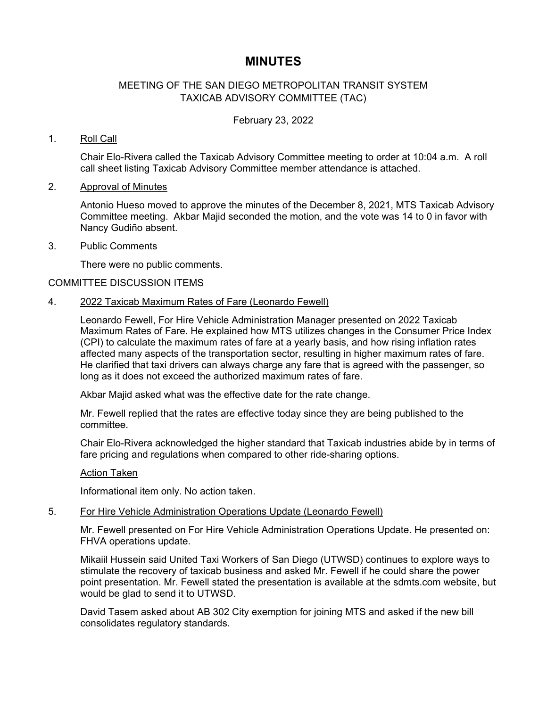# **MINUTES**

# MEETING OF THE SAN DIEGO METROPOLITAN TRANSIT SYSTEM TAXICAB ADVISORY COMMITTEE (TAC)

### February 23, 2022

# 1. Roll Call

Chair Elo-Rivera called the Taxicab Advisory Committee meeting to order at 10:04 a.m. A roll call sheet listing Taxicab Advisory Committee member attendance is attached.

# 2. Approval of Minutes

Antonio Hueso moved to approve the minutes of the December 8, 2021, MTS Taxicab Advisory Committee meeting. Akbar Majid seconded the motion, and the vote was 14 to 0 in favor with Nancy Gudiño absent.

#### 3. Public Comments

There were no public comments.

# COMMITTEE DISCUSSION ITEMS

# 4. 2022 Taxicab Maximum Rates of Fare (Leonardo Fewell)

Leonardo Fewell, For Hire Vehicle Administration Manager presented on 2022 Taxicab Maximum Rates of Fare. He explained how MTS utilizes changes in the Consumer Price Index (CPI) to calculate the maximum rates of fare at a yearly basis, and how rising inflation rates affected many aspects of the transportation sector, resulting in higher maximum rates of fare. He clarified that taxi drivers can always charge any fare that is agreed with the passenger, so long as it does not exceed the authorized maximum rates of fare.

Akbar Majid asked what was the effective date for the rate change.

Mr. Fewell replied that the rates are effective today since they are being published to the committee.

Chair Elo-Rivera acknowledged the higher standard that Taxicab industries abide by in terms of fare pricing and regulations when compared to other ride-sharing options.

#### Action Taken

Informational item only. No action taken.

#### 5. For Hire Vehicle Administration Operations Update (Leonardo Fewell)

Mr. Fewell presented on For Hire Vehicle Administration Operations Update. He presented on: FHVA operations update.

Mikaiil Hussein said United Taxi Workers of San Diego (UTWSD) continues to explore ways to stimulate the recovery of taxicab business and asked Mr. Fewell if he could share the power point presentation. Mr. Fewell stated the presentation is available at the sdmts.com website, but would be glad to send it to UTWSD.

David Tasem asked about AB 302 City exemption for joining MTS and asked if the new bill consolidates regulatory standards.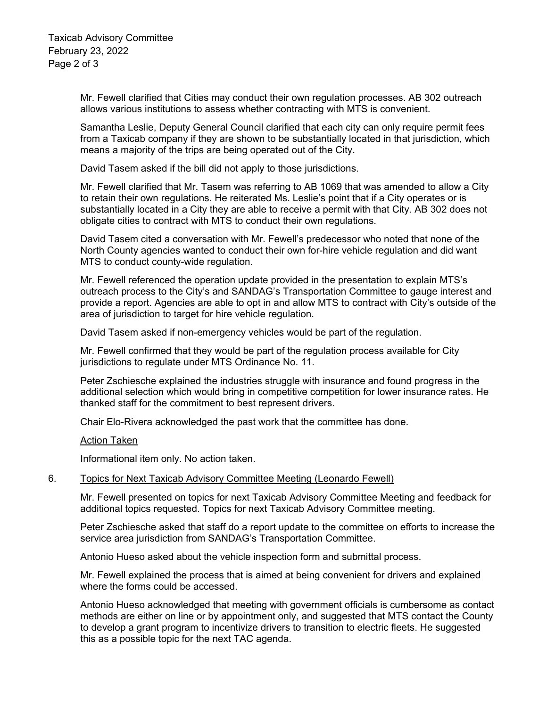Taxicab Advisory Committee February 23, 2022 Page 2 of 3

> Mr. Fewell clarified that Cities may conduct their own regulation processes. AB 302 outreach allows various institutions to assess whether contracting with MTS is convenient.

Samantha Leslie, Deputy General Council clarified that each city can only require permit fees from a Taxicab company if they are shown to be substantially located in that jurisdiction, which means a majority of the trips are being operated out of the City.

David Tasem asked if the bill did not apply to those jurisdictions.

Mr. Fewell clarified that Mr. Tasem was referring to AB 1069 that was amended to allow a City to retain their own regulations. He reiterated Ms. Leslie's point that if a City operates or is substantially located in a City they are able to receive a permit with that City. AB 302 does not obligate cities to contract with MTS to conduct their own regulations.

David Tasem cited a conversation with Mr. Fewell's predecessor who noted that none of the North County agencies wanted to conduct their own for-hire vehicle regulation and did want MTS to conduct county-wide regulation.

Mr. Fewell referenced the operation update provided in the presentation to explain MTS's outreach process to the City's and SANDAG's Transportation Committee to gauge interest and provide a report. Agencies are able to opt in and allow MTS to contract with City's outside of the area of jurisdiction to target for hire vehicle regulation.

David Tasem asked if non-emergency vehicles would be part of the regulation.

Mr. Fewell confirmed that they would be part of the regulation process available for City jurisdictions to regulate under MTS Ordinance No. 11.

Peter Zschiesche explained the industries struggle with insurance and found progress in the additional selection which would bring in competitive competition for lower insurance rates. He thanked staff for the commitment to best represent drivers.

Chair Elo-Rivera acknowledged the past work that the committee has done.

Action Taken

Informational item only. No action taken.

#### 6. Topics for Next Taxicab Advisory Committee Meeting (Leonardo Fewell)

Mr. Fewell presented on topics for next Taxicab Advisory Committee Meeting and feedback for additional topics requested. Topics for next Taxicab Advisory Committee meeting.

Peter Zschiesche asked that staff do a report update to the committee on efforts to increase the service area jurisdiction from SANDAG's Transportation Committee.

Antonio Hueso asked about the vehicle inspection form and submittal process.

Mr. Fewell explained the process that is aimed at being convenient for drivers and explained where the forms could be accessed.

Antonio Hueso acknowledged that meeting with government officials is cumbersome as contact methods are either on line or by appointment only, and suggested that MTS contact the County to develop a grant program to incentivize drivers to transition to electric fleets. He suggested this as a possible topic for the next TAC agenda.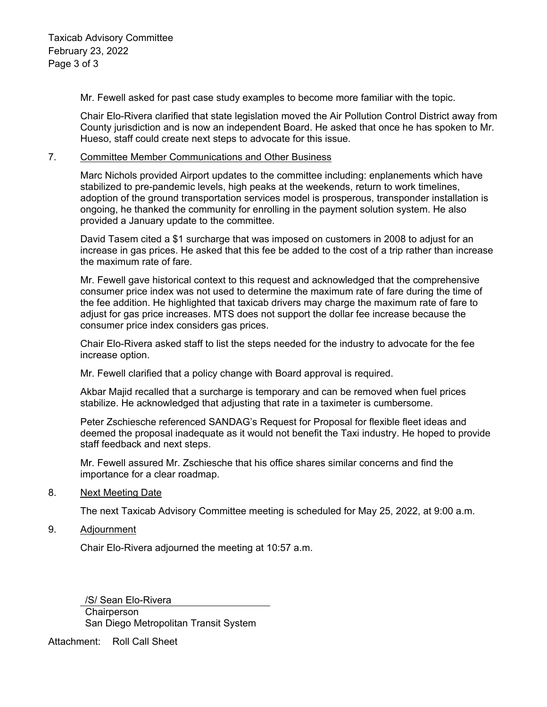Mr. Fewell asked for past case study examples to become more familiar with the topic.

Chair Elo-Rivera clarified that state legislation moved the Air Pollution Control District away from County jurisdiction and is now an independent Board. He asked that once he has spoken to Mr. Hueso, staff could create next steps to advocate for this issue.

# 7. Committee Member Communications and Other Business

Marc Nichols provided Airport updates to the committee including: enplanements which have stabilized to pre-pandemic levels, high peaks at the weekends, return to work timelines, adoption of the ground transportation services model is prosperous, transponder installation is ongoing, he thanked the community for enrolling in the payment solution system. He also provided a January update to the committee.

David Tasem cited a \$1 surcharge that was imposed on customers in 2008 to adjust for an increase in gas prices. He asked that this fee be added to the cost of a trip rather than increase the maximum rate of fare.

Mr. Fewell gave historical context to this request and acknowledged that the comprehensive consumer price index was not used to determine the maximum rate of fare during the time of the fee addition. He highlighted that taxicab drivers may charge the maximum rate of fare to adjust for gas price increases. MTS does not support the dollar fee increase because the consumer price index considers gas prices.

Chair Elo-Rivera asked staff to list the steps needed for the industry to advocate for the fee increase option.

Mr. Fewell clarified that a policy change with Board approval is required.

Akbar Majid recalled that a surcharge is temporary and can be removed when fuel prices stabilize. He acknowledged that adjusting that rate in a taximeter is cumbersome.

Peter Zschiesche referenced SANDAG's Request for Proposal for flexible fleet ideas and deemed the proposal inadequate as it would not benefit the Taxi industry. He hoped to provide staff feedback and next steps.

Mr. Fewell assured Mr. Zschiesche that his office shares similar concerns and find the importance for a clear roadmap.

#### 8. Next Meeting Date

The next Taxicab Advisory Committee meeting is scheduled for May 25, 2022, at 9:00 a.m.

9. Adjournment

Chair Elo-Rivera adjourned the meeting at 10:57 a.m.

/S/ Sean Elo-Rivera **Chairperson** San Diego Metropolitan Transit System

Attachment: Roll Call Sheet